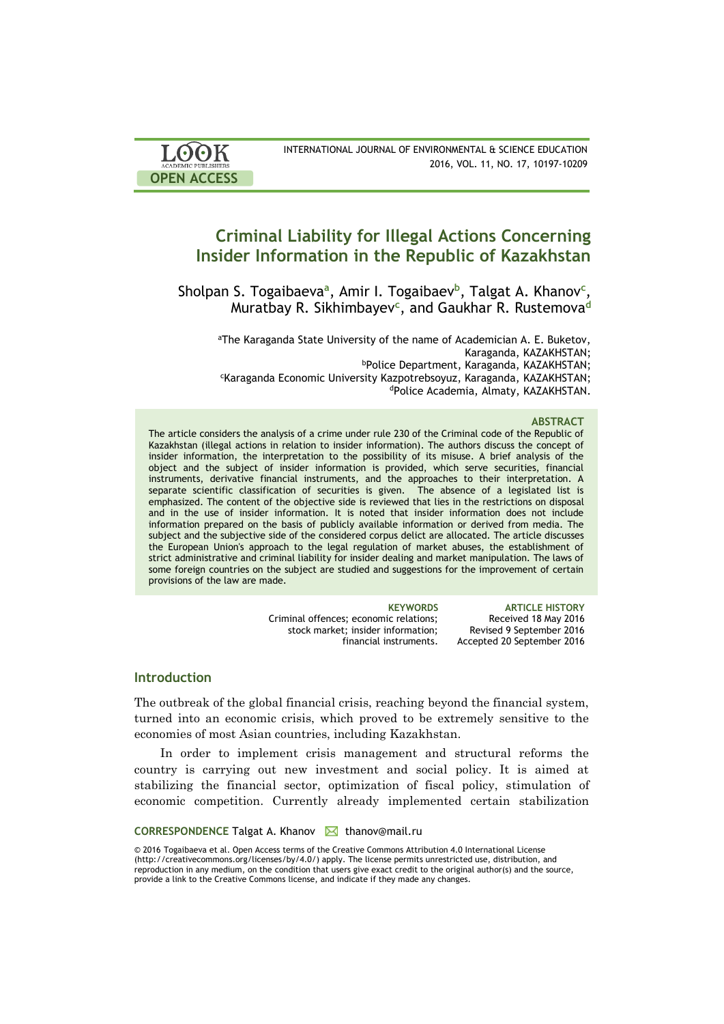| LOOK                       | INTERNATIONAL JOURNAL OF ENVIRONMENTAL & SCIENCE EDUCATION |
|----------------------------|------------------------------------------------------------|
| <b>ACADEMIC PUBLISHERS</b> | 2016, VOL. 11, NO. 17, 10197-10209                         |
| <b>OPEN ACCESS</b>         |                                                            |

# **Criminal Liability for Illegal Actions Concerning Insider Information in the Republic of Kazakhstan**

Sholpan S. Togaibaeva**<sup>a</sup>** , Amir I. Togaibaev**<sup>b</sup>** , Talgat A. Khanov**<sup>c</sup>** , Muratbay R. Sikhimbayev**<sup>c</sup>** , and Gaukhar R. Rustemova**<sup>d</sup>**

aThe Karaganda State University of the name of Academician A. E. Buketov, Karaganda, KAZAKHSTAN; <sup>b</sup>Police Department, Karaganda, KAZAKHSTAN; <sup>c</sup>Karaganda Economic University Kazpotrebsoyuz, Karaganda, KAZAKHSTAN; dPolice Academia, Almaty, KAZAKHSTAN.

### **ABSTRACT**

The article considers the analysis of a crime under rule 230 of the Criminal code of the Republic of Kazakhstan (illegal actions in relation to insider information). The authors discuss the concept of insider information, the interpretation to the possibility of its misuse. A brief analysis of the object and the subject of insider information is provided, which serve securities, financial instruments, derivative financial instruments, and the approaches to their interpretation. A separate scientific classification of securities is given. The absence of a legislated list is emphasized. The content of the objective side is reviewed that lies in the restrictions on disposal and in the use of insider information. It is noted that insider information does not include information prepared on the basis of publicly available information or derived from media. The subject and the subjective side of the considered corpus delict are allocated. The article discusses the European Union's approach to the legal regulation of market abuses, the establishment of strict administrative and criminal liability for insider dealing and market manipulation. The laws of some foreign countries on the subject are studied and suggestions for the improvement of certain provisions of the law are made.

| <b>KEYWORDS</b>                        | <b>ARTICLE HISTORY</b>     |
|----------------------------------------|----------------------------|
| Criminal offences: economic relations: | Received 18 May 2016       |
| stock market; insider information;     | Revised 9 September 2016   |
| financial instruments.                 | Accepted 20 September 2016 |

### **Introduction**

The outbreak of the global financial crisis, reaching beyond the financial system, turned into an economic crisis, which proved to be extremely sensitive to the economies of most Asian countries, including Kazakhstan.

In order to implement crisis management and structural reforms the country is carrying out new investment and social policy. It is aimed at stabilizing the financial sector, optimization of fiscal policy, stimulation of economic competition. Currently already implemented certain stabilization

### **CORRESPONDENCE** Talgat A. Khanov M thanov@mail.ru

© 2016 Togaibaeva et al. Open Access terms of the Creative Commons Attribution 4.0 International License (http://creativecommons.org/licenses/by/4.0/) apply. The license permits unrestricted use, distribution, and reproduction in any medium, on the condition that users give exact credit to the original author(s) and the source, provide a link to the Creative Commons license, and indicate if they made any changes.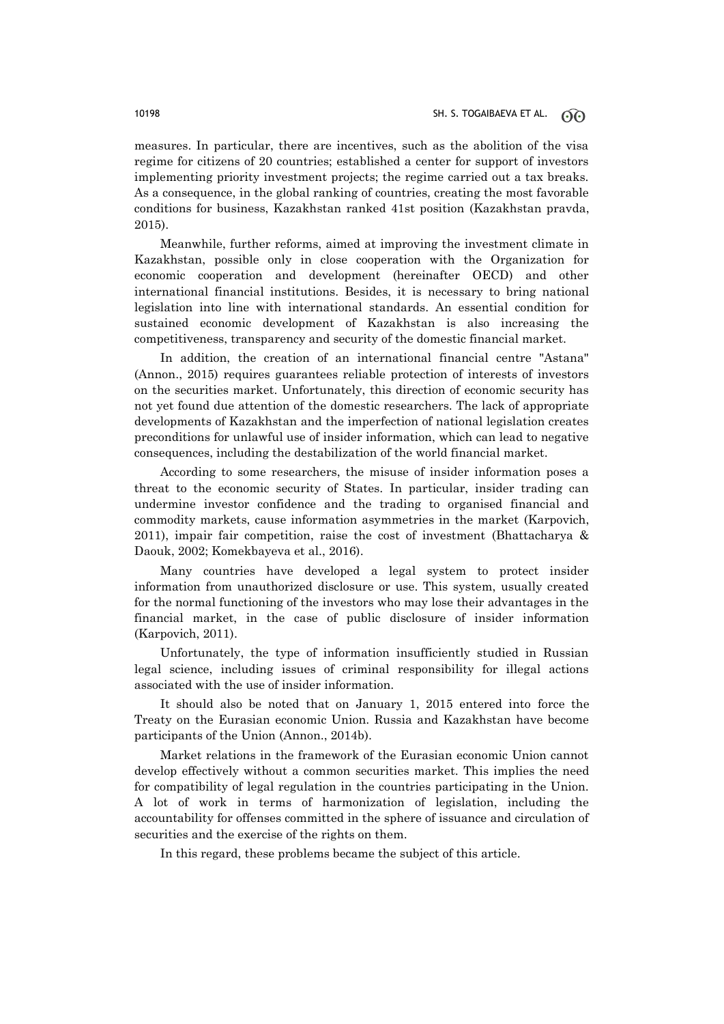measures. In particular, there are incentives, such as the abolition of the visa regime for citizens of 20 countries; established a center for support of investors implementing priority investment projects; the regime carried out a tax breaks. As a consequence, in the global ranking of countries, creating the most favorable conditions for business, Kazakhstan ranked 41st position (Kazakhstan pravda, 2015).

Meanwhile, further reforms, aimed at improving the investment climate in Kazakhstan, possible only in close cooperation with the Organization for economic cooperation and development (hereinafter OECD) and other international financial institutions. Besides, it is necessary to bring national legislation into line with international standards. An essential condition for sustained economic development of Kazakhstan is also increasing the competitiveness, transparency and security of the domestic financial market.

In addition, the creation of an international financial centre "Astana" (Annon., 2015) requires guarantees reliable protection of interests of investors on the securities market. Unfortunately, this direction of economic security has not yet found due attention of the domestic researchers. The lack of appropriate developments of Kazakhstan and the imperfection of national legislation creates preconditions for unlawful use of insider information, which can lead to negative consequences, including the destabilization of the world financial market.

According to some researchers, the misuse of insider information poses a threat to the economic security of States. In particular, insider trading can undermine investor confidence and the trading to organised financial and commodity markets, cause information asymmetries in the market (Karpovich, 2011), impair fair competition, raise the cost of investment (Bhattacharya & Daouk, 2002; Komekbayeva et al., 2016).

Many countries have developed a legal system to protect insider information from unauthorized disclosure or use. This system, usually created for the normal functioning of the investors who may lose their advantages in the financial market, in the case of public disclosure of insider information (Karpovich, 2011).

Unfortunately, the type of information insufficiently studied in Russian legal science, including issues of criminal responsibility for illegal actions associated with the use of insider information.

It should also be noted that on January 1, 2015 entered into force the Treaty on the Eurasian economic Union. Russia and Kazakhstan have become participants of the Union (Annon., 2014b).

Market relations in the framework of the Eurasian economic Union cannot develop effectively without a common securities market. This implies the need for compatibility of legal regulation in the countries participating in the Union. A lot of work in terms of harmonization of legislation, including the accountability for offenses committed in the sphere of issuance and circulation of securities and the exercise of the rights on them.

In this regard, these problems became the subject of this article.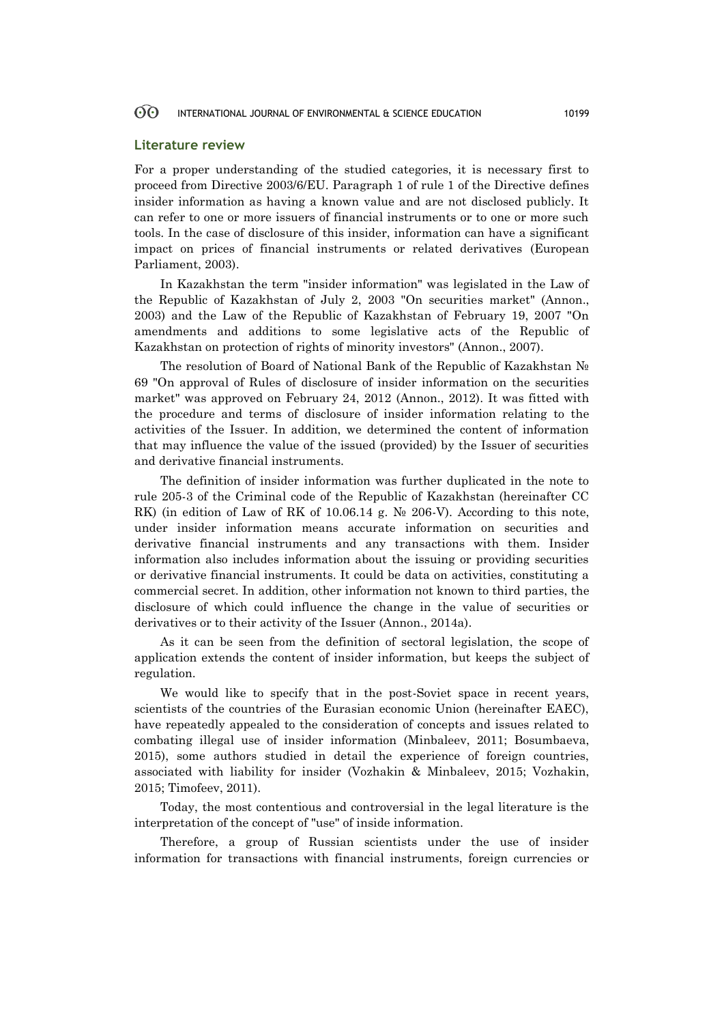### **Literature review**

For a proper understanding of the studied categories, it is necessary first to proceed from Directive 2003/6/EU. Paragraph 1 of rule 1 of the Directive defines insider information as having a known value and are not disclosed publicly. It can refer to one or more issuers of financial instruments or to one or more such tools. In the case of disclosure of this insider, information can have a significant impact on prices of financial instruments or related derivatives (European Parliament, 2003).

In Kazakhstan the term "insider information" was legislated in the Law of the Republic of Kazakhstan of July 2, 2003 "On securities market" (Annon., 2003) and the Law of the Republic of Kazakhstan of February 19, 2007 "On amendments and additions to some legislative acts of the Republic of Kazakhstan on protection of rights of minority investors" (Annon., 2007).

The resolution of Board of National Bank of the Republic of Kazakhstan № 69 "On approval of Rules of disclosure of insider information on the securities market" was approved on February 24, 2012 (Annon., 2012). It was fitted with the procedure and terms of disclosure of insider information relating to the activities of the Issuer. In addition, we determined the content of information that may influence the value of the issued (provided) by the Issuer of securities and derivative financial instruments.

The definition of insider information was further duplicated in the note to rule 205-3 of the Criminal code of the Republic of Kazakhstan (hereinafter CC RK) (in edition of Law of RK of 10.06.14 g.  $N<sub>2</sub>$  206-V). According to this note, under insider information means accurate information on securities and derivative financial instruments and any transactions with them. Insider information also includes information about the issuing or providing securities or derivative financial instruments. It could be data on activities, constituting a commercial secret. In addition, other information not known to third parties, the disclosure of which could influence the change in the value of securities or derivatives or to their activity of the Issuer (Annon., 2014a).

As it can be seen from the definition of sectoral legislation, the scope of application extends the content of insider information, but keeps the subject of regulation.

We would like to specify that in the post-Soviet space in recent years, scientists of the countries of the Eurasian economic Union (hereinafter EAEC), have repeatedly appealed to the consideration of concepts and issues related to combating illegal use of insider information (Minbaleev, 2011; Bosumbaeva, 2015), some authors studied in detail the experience of foreign countries, associated with liability for insider (Vozhakin & Minbaleev, 2015; Vozhakin, 2015; Timofeev, 2011).

Today, the most contentious and controversial in the legal literature is the interpretation of the concept of "use" of inside information.

Therefore, a group of Russian scientists under the use of insider information for transactions with financial instruments, foreign currencies or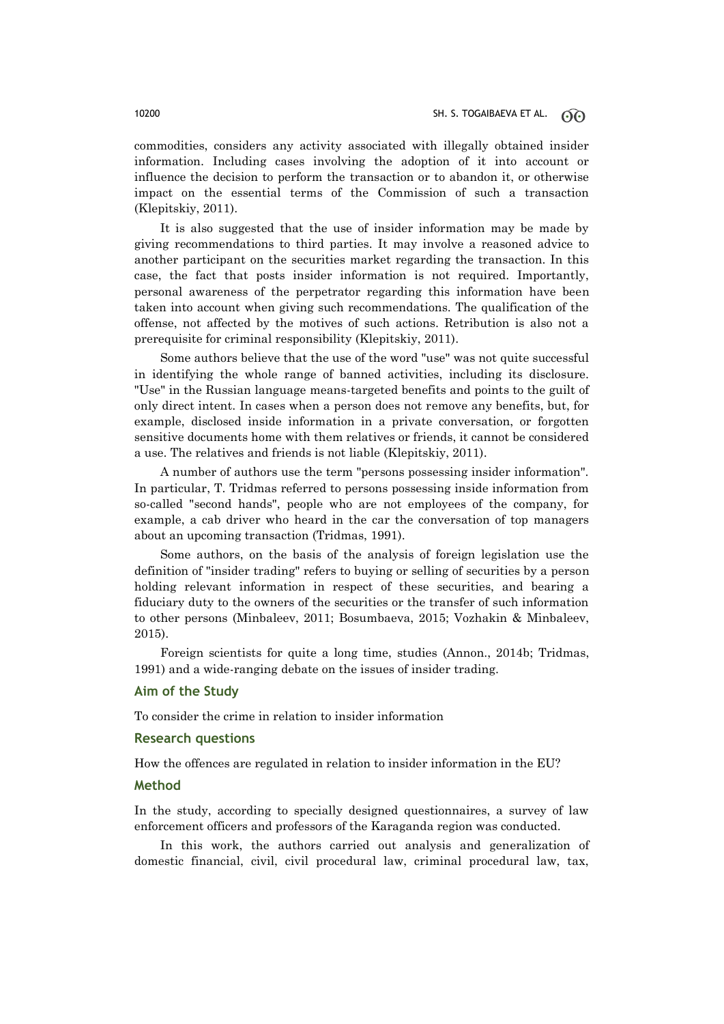commodities, considers any activity associated with illegally obtained insider information. Including cases involving the adoption of it into account or influence the decision to perform the transaction or to abandon it, or otherwise impact on the essential terms of the Commission of such a transaction (Klepitskiy, 2011).

It is also suggested that the use of insider information may be made by giving recommendations to third parties. It may involve a reasoned advice to another participant on the securities market regarding the transaction. In this case, the fact that posts insider information is not required. Importantly, personal awareness of the perpetrator regarding this information have been taken into account when giving such recommendations. The qualification of the offense, not affected by the motives of such actions. Retribution is also not a prerequisite for criminal responsibility (Klepitskiy, 2011).

Some authors believe that the use of the word "use" was not quite successful in identifying the whole range of banned activities, including its disclosure. "Use" in the Russian language means-targeted benefits and points to the guilt of only direct intent. In cases when a person does not remove any benefits, but, for example, disclosed inside information in a private conversation, or forgotten sensitive documents home with them relatives or friends, it cannot be considered a use. The relatives and friends is not liable (Klepitskiy, 2011).

A number of authors use the term "persons possessing insider information". In particular, T. Tridmas referred to persons possessing inside information from so-called "second hands", people who are not employees of the company, for example, a cab driver who heard in the car the conversation of top managers about an upcoming transaction (Tridmas, 1991).

Some authors, on the basis of the analysis of foreign legislation use the definition of "insider trading" refers to buying or selling of securities by a person holding relevant information in respect of these securities, and bearing a fiduciary duty to the owners of the securities or the transfer of such information to other persons (Minbaleev, 2011; Bosumbaeva, 2015; Vozhakin & Minbaleev, 2015).

Foreign scientists for quite a long time, studies (Annon., 2014b; Tridmas, 1991) and a wide-ranging debate on the issues of insider trading.

### **Aim of the Study**

To consider the crime in relation to insider information

### **Research questions**

How the offences are regulated in relation to insider information in the EU?

### **Method**

In the study, according to specially designed questionnaires, a survey of law enforcement officers and professors of the Karaganda region was conducted.

In this work, the authors carried out analysis and generalization of domestic financial, civil, civil procedural law, criminal procedural law, tax,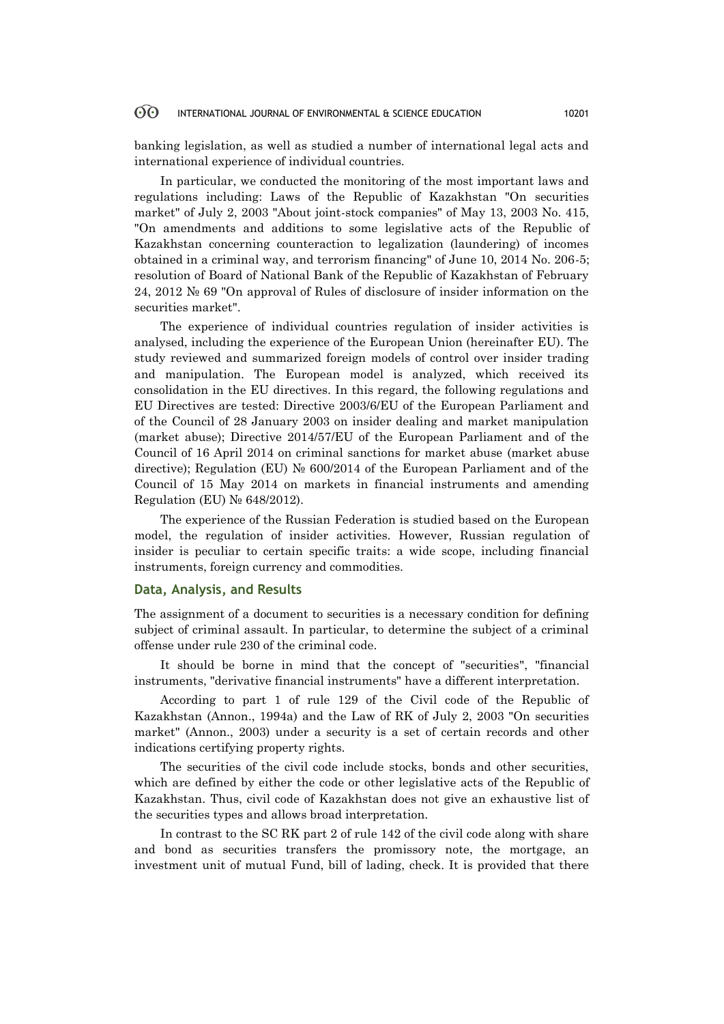banking legislation, as well as studied a number of international legal acts and international experience of individual countries.

In particular, we conducted the monitoring of the most important laws and regulations including: Laws of the Republic of Kazakhstan "On securities market" of July 2, 2003 "About joint-stock companies" of May 13, 2003 No. 415, "On amendments and additions to some legislative acts of the Republic of Kazakhstan concerning counteraction to legalization (laundering) of incomes obtained in a criminal way, and terrorism financing" of June 10, 2014 No. 206-5; resolution of Board of National Bank of the Republic of Kazakhstan of February 24, 2012 № 69 "On approval of Rules of disclosure of insider information on the securities market".

The experience of individual countries regulation of insider activities is analysed, including the experience of the European Union (hereinafter EU). The study reviewed and summarized foreign models of control over insider trading and manipulation. The European model is analyzed, which received its consolidation in the EU directives. In this regard, the following regulations and EU Directives are tested: Directive 2003/6/EU of the European Parliament and of the Council of 28 January 2003 on insider dealing and market manipulation (market abuse); Directive 2014/57/EU of the European Parliament and of the Council of 16 April 2014 on criminal sanctions for market abuse (market abuse directive); Regulation (EU) № 600/2014 of the European Parliament and of the Council of 15 May 2014 on markets in financial instruments and amending Regulation (EU) № 648/2012).

The experience of the Russian Federation is studied based on the European model, the regulation of insider activities. However, Russian regulation of insider is peculiar to certain specific traits: a wide scope, including financial instruments, foreign currency and commodities.

### **Data, Analysis, and Results**

The assignment of a document to securities is a necessary condition for defining subject of criminal assault. In particular, to determine the subject of a criminal offense under rule 230 of the criminal code.

It should be borne in mind that the concept of "securities", "financial instruments, "derivative financial instruments" have a different interpretation.

According to part 1 of rule 129 of the Civil code of the Republic of Kazakhstan (Annon., 1994a) and the Law of RK of July 2, 2003 "On securities market" (Annon., 2003) under a security is a set of certain records and other indications certifying property rights.

The securities of the civil code include stocks, bonds and other securities, which are defined by either the code or other legislative acts of the Republic of Kazakhstan. Thus, civil code of Kazakhstan does not give an exhaustive list of the securities types and allows broad interpretation.

In contrast to the SC RK part 2 of rule 142 of the civil code along with share and bond as securities transfers the promissory note, the mortgage, an investment unit of mutual Fund, bill of lading, check. It is provided that there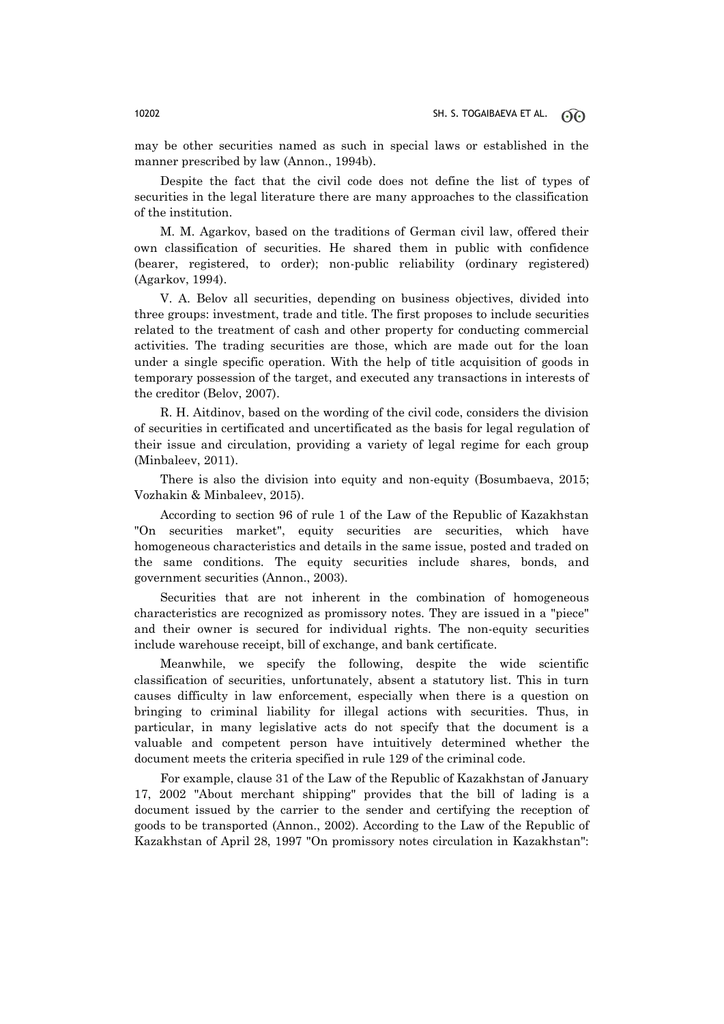may be other securities named as such in special laws or established in the manner prescribed by law (Annon., 1994b).

Despite the fact that the civil code does not define the list of types of securities in the legal literature there are many approaches to the classification of the institution.

M. M. Agarkov, based on the traditions of German civil law, offered their own classification of securities. He shared them in public with confidence (bearer, registered, to order); non-public reliability (ordinary registered) (Agarkov, 1994).

V. A. Belov all securities, depending on business objectives, divided into three groups: investment, trade and title. The first proposes to include securities related to the treatment of cash and other property for conducting commercial activities. The trading securities are those, which are made out for the loan under a single specific operation. With the help of title acquisition of goods in temporary possession of the target, and executed any transactions in interests of the creditor (Belov, 2007).

R. H. Aitdinov, based on the wording of the civil code, considers the division of securities in certificated and uncertificated as the basis for legal regulation of their issue and circulation, providing a variety of legal regime for each group (Minbaleev, 2011).

There is also the division into equity and non-equity (Bosumbaeva, 2015; Vozhakin & Minbaleev, 2015).

According to section 96 of rule 1 of the Law of the Republic of Kazakhstan "On securities market", equity securities are securities, which have homogeneous characteristics and details in the same issue, posted and traded on the same conditions. The equity securities include shares, bonds, and government securities (Annon., 2003).

Securities that are not inherent in the combination of homogeneous characteristics are recognized as promissory notes. They are issued in a "piece" and their owner is secured for individual rights. The non-equity securities include warehouse receipt, bill of exchange, and bank certificate.

Meanwhile, we specify the following, despite the wide scientific classification of securities, unfortunately, absent a statutory list. This in turn causes difficulty in law enforcement, especially when there is a question on bringing to criminal liability for illegal actions with securities. Thus, in particular, in many legislative acts do not specify that the document is a valuable and competent person have intuitively determined whether the document meets the criteria specified in rule 129 of the criminal code.

For example, clause 31 of the Law of the Republic of Kazakhstan of January 17, 2002 "About merchant shipping" provides that the bill of lading is a document issued by the carrier to the sender and certifying the reception of goods to be transported (Annon., 2002). According to the Law of the Republic of Kazakhstan of April 28, 1997 "On promissory notes circulation in Kazakhstan":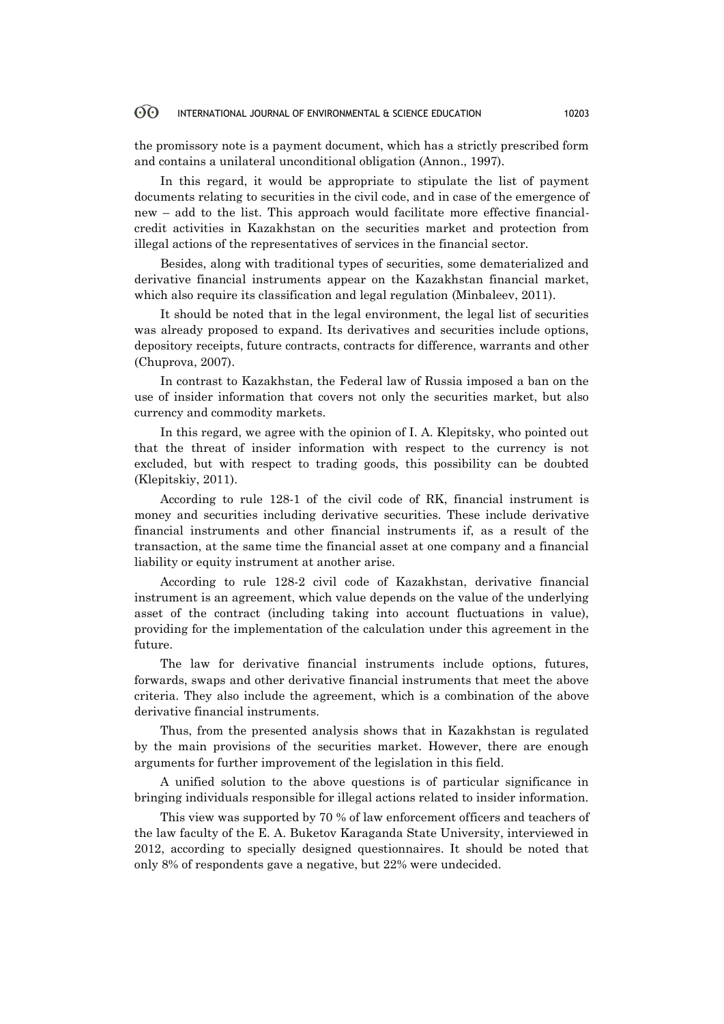the promissory note is a payment document, which has a strictly prescribed form and contains a unilateral unconditional obligation (Annon., 1997).

In this regard, it would be appropriate to stipulate the list of payment documents relating to securities in the civil code, and in case of the emergence of new – add to the list. This approach would facilitate more effective financialcredit activities in Kazakhstan on the securities market and protection from illegal actions of the representatives of services in the financial sector.

Besides, along with traditional types of securities, some dematerialized and derivative financial instruments appear on the Kazakhstan financial market, which also require its classification and legal regulation (Minbaleev, 2011).

It should be noted that in the legal environment, the legal list of securities was already proposed to expand. Its derivatives and securities include options, depository receipts, future contracts, contracts for difference, warrants and other (Chuprova, 2007).

In contrast to Kazakhstan, the Federal law of Russia imposed a ban on the use of insider information that covers not only the securities market, but also currency and commodity markets.

In this regard, we agree with the opinion of I. A. Klepitsky, who pointed out that the threat of insider information with respect to the currency is not excluded, but with respect to trading goods, this possibility can be doubted (Klepitskiy, 2011).

According to rule 128-1 of the civil code of RK, financial instrument is money and securities including derivative securities. These include derivative financial instruments and other financial instruments if, as a result of the transaction, at the same time the financial asset at one company and a financial liability or equity instrument at another arise.

According to rule 128-2 civil code of Kazakhstan, derivative financial instrument is an agreement, which value depends on the value of the underlying asset of the contract (including taking into account fluctuations in value), providing for the implementation of the calculation under this agreement in the future.

The law for derivative financial instruments include options, futures, forwards, swaps and other derivative financial instruments that meet the above criteria. They also include the agreement, which is a combination of the above derivative financial instruments.

Thus, from the presented analysis shows that in Kazakhstan is regulated by the main provisions of the securities market. However, there are enough arguments for further improvement of the legislation in this field.

A unified solution to the above questions is of particular significance in bringing individuals responsible for illegal actions related to insider information.

This view was supported by 70 % of law enforcement officers and teachers of the law faculty of the E. A. Buketov Karaganda State University, interviewed in 2012, according to specially designed questionnaires. It should be noted that only 8% of respondents gave a negative, but 22% were undecided.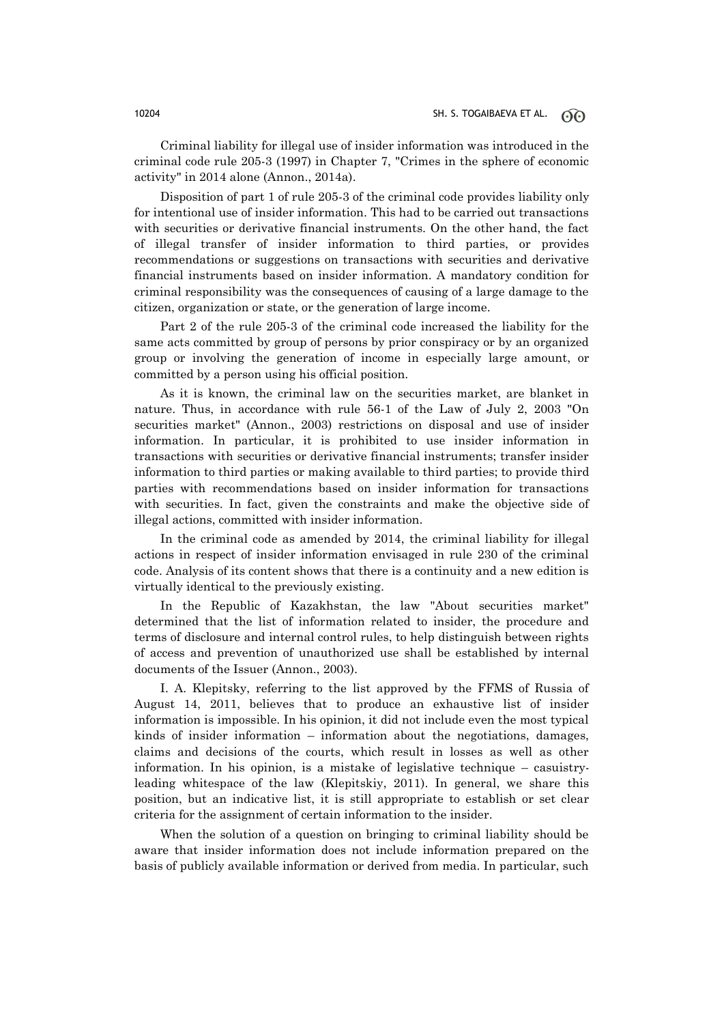Criminal liability for illegal use of insider information was introduced in the criminal code rule 205-3 (1997) in Chapter 7, "Crimes in the sphere of economic activity" in 2014 alone (Annon., 2014a).

Disposition of part 1 of rule 205-3 of the criminal code provides liability only for intentional use of insider information. This had to be carried out transactions with securities or derivative financial instruments. On the other hand, the fact of illegal transfer of insider information to third parties, or provides recommendations or suggestions on transactions with securities and derivative financial instruments based on insider information. A mandatory condition for criminal responsibility was the consequences of causing of a large damage to the citizen, organization or state, or the generation of large income.

Part 2 of the rule 205-3 of the criminal code increased the liability for the same acts committed by group of persons by prior conspiracy or by an organized group or involving the generation of income in especially large amount, or committed by a person using his official position.

As it is known, the criminal law on the securities market, are blanket in nature. Thus, in accordance with rule 56-1 of the Law of July 2, 2003 "On securities market" (Annon., 2003) restrictions on disposal and use of insider information. In particular, it is prohibited to use insider information in transactions with securities or derivative financial instruments; transfer insider information to third parties or making available to third parties; to provide third parties with recommendations based on insider information for transactions with securities. In fact, given the constraints and make the objective side of illegal actions, committed with insider information.

In the criminal code as amended by 2014, the criminal liability for illegal actions in respect of insider information envisaged in rule 230 of the criminal code. Analysis of its content shows that there is a continuity and a new edition is virtually identical to the previously existing.

In the Republic of Kazakhstan, the law "About securities market" determined that the list of information related to insider, the procedure and terms of disclosure and internal control rules, to help distinguish between rights of access and prevention of unauthorized use shall be established by internal documents of the Issuer (Annon., 2003).

I. A. Klepitsky, referring to the list approved by the FFMS of Russia of August 14, 2011, believes that to produce an exhaustive list of insider information is impossible. In his opinion, it did not include even the most typical kinds of insider information  $-$  information about the negotiations, damages, claims and decisions of the courts, which result in losses as well as other information. In his opinion, is a mistake of legislative technique – casuistryleading whitespace of the law (Klepitskiy, 2011). In general, we share this position, but an indicative list, it is still appropriate to establish or set clear criteria for the assignment of certain information to the insider.

When the solution of a question on bringing to criminal liability should be aware that insider information does not include information prepared on the basis of publicly available information or derived from media. In particular, such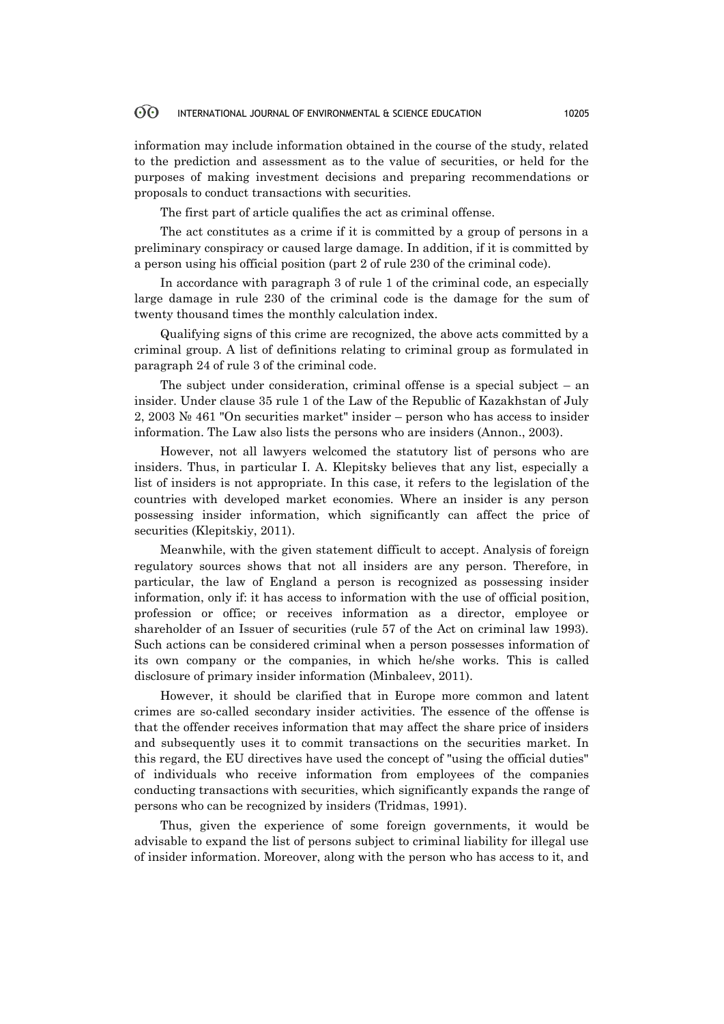information may include information obtained in the course of the study, related to the prediction and assessment as to the value of securities, or held for the purposes of making investment decisions and preparing recommendations or proposals to conduct transactions with securities.

The first part of article qualifies the act as criminal offense.

The act constitutes as a crime if it is committed by a group of persons in a preliminary conspiracy or caused large damage. In addition, if it is committed by a person using his official position (part 2 of rule 230 of the criminal code).

In accordance with paragraph 3 of rule 1 of the criminal code, an especially large damage in rule 230 of the criminal code is the damage for the sum of twenty thousand times the monthly calculation index.

Qualifying signs of this crime are recognized, the above acts committed by a criminal group. A list of definitions relating to criminal group as formulated in paragraph 24 of rule 3 of the criminal code.

The subject under consideration, criminal offense is a special subject – an insider. Under clause 35 rule 1 of the Law of the Republic of Kazakhstan of July 2, 2003 № 461 "On securities market" insider – person who has access to insider information. The Law also lists the persons who are insiders (Annon., 2003).

However, not all lawyers welcomed the statutory list of persons who are insiders. Thus, in particular I. A. Klepitsky believes that any list, especially a list of insiders is not appropriate. In this case, it refers to the legislation of the countries with developed market economies. Where an insider is any person possessing insider information, which significantly can affect the price of securities (Klepitskiy, 2011).

Meanwhile, with the given statement difficult to accept. Analysis of foreign regulatory sources shows that not all insiders are any person. Therefore, in particular, the law of England a person is recognized as possessing insider information, only if: it has access to information with the use of official position, profession or office; or receives information as a director, employee or shareholder of an Issuer of securities (rule 57 of the Act on criminal law 1993). Such actions can be considered criminal when a person possesses information of its own company or the companies, in which he/she works. This is called disclosure of primary insider information (Minbaleev, 2011).

However, it should be clarified that in Europe more common and latent crimes are so-called secondary insider activities. The essence of the offense is that the offender receives information that may affect the share price of insiders and subsequently uses it to commit transactions on the securities market. In this regard, the EU directives have used the concept of "using the official duties" of individuals who receive information from employees of the companies conducting transactions with securities, which significantly expands the range of persons who can be recognized by insiders (Tridmas, 1991).

Thus, given the experience of some foreign governments, it would be advisable to expand the list of persons subject to criminal liability for illegal use of insider information. Moreover, along with the person who has access to it, and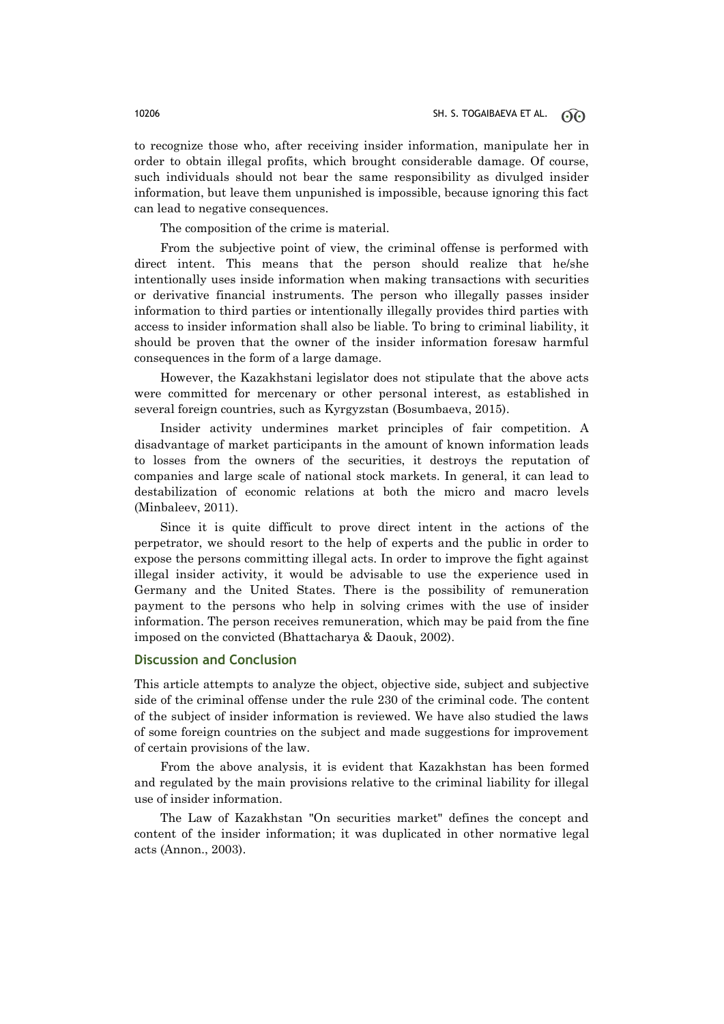to recognize those who, after receiving insider information, manipulate her in order to obtain illegal profits, which brought considerable damage. Of course, such individuals should not bear the same responsibility as divulged insider information, but leave them unpunished is impossible, because ignoring this fact can lead to negative consequences.

The composition of the crime is material.

From the subjective point of view, the criminal offense is performed with direct intent. This means that the person should realize that he/she intentionally uses inside information when making transactions with securities or derivative financial instruments. The person who illegally passes insider information to third parties or intentionally illegally provides third parties with access to insider information shall also be liable. To bring to criminal liability, it should be proven that the owner of the insider information foresaw harmful consequences in the form of a large damage.

However, the Kazakhstani legislator does not stipulate that the above acts were committed for mercenary or other personal interest, as established in several foreign countries, such as Kyrgyzstan (Bosumbaeva, 2015).

Insider activity undermines market principles of fair competition. A disadvantage of market participants in the amount of known information leads to losses from the owners of the securities, it destroys the reputation of companies and large scale of national stock markets. In general, it can lead to destabilization of economic relations at both the micro and macro levels (Minbaleev, 2011).

Since it is quite difficult to prove direct intent in the actions of the perpetrator, we should resort to the help of experts and the public in order to expose the persons committing illegal acts. In order to improve the fight against illegal insider activity, it would be advisable to use the experience used in Germany and the United States. There is the possibility of remuneration payment to the persons who help in solving crimes with the use of insider information. The person receives remuneration, which may be paid from the fine imposed on the convicted (Bhattacharya & Daouk, 2002).

### **Discussion and Conclusion**

This article attempts to analyze the object, objective side, subject and subjective side of the criminal offense under the rule 230 of the criminal code. The content of the subject of insider information is reviewed. We have also studied the laws of some foreign countries on the subject and made suggestions for improvement of certain provisions of the law.

From the above analysis, it is evident that Kazakhstan has been formed and regulated by the main provisions relative to the criminal liability for illegal use of insider information.

The Law of Kazakhstan "On securities market" defines the concept and content of the insider information; it was duplicated in other normative legal acts (Annon., 2003).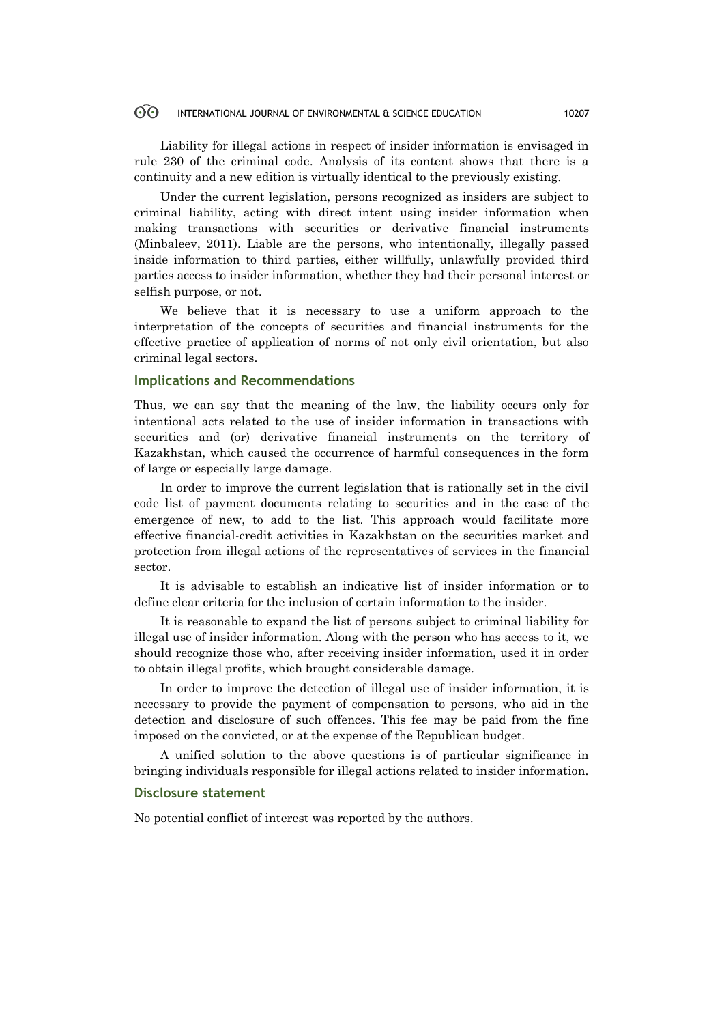Liability for illegal actions in respect of insider information is envisaged in rule 230 of the criminal code. Analysis of its content shows that there is a continuity and a new edition is virtually identical to the previously existing.

Under the current legislation, persons recognized as insiders are subject to criminal liability, acting with direct intent using insider information when making transactions with securities or derivative financial instruments (Minbaleev, 2011). Liable are the persons, who intentionally, illegally passed inside information to third parties, either willfully, unlawfully provided third parties access to insider information, whether they had their personal interest or selfish purpose, or not.

We believe that it is necessary to use a uniform approach to the interpretation of the concepts of securities and financial instruments for the effective practice of application of norms of not only civil orientation, but also criminal legal sectors.

### **Implications and Recommendations**

Thus, we can say that the meaning of the law, the liability occurs only for intentional acts related to the use of insider information in transactions with securities and (or) derivative financial instruments on the territory of Kazakhstan, which caused the occurrence of harmful consequences in the form of large or especially large damage.

In order to improve the current legislation that is rationally set in the civil code list of payment documents relating to securities and in the case of the emergence of new, to add to the list. This approach would facilitate more effective financial-credit activities in Kazakhstan on the securities market and protection from illegal actions of the representatives of services in the financial sector.

It is advisable to establish an indicative list of insider information or to define clear criteria for the inclusion of certain information to the insider.

It is reasonable to expand the list of persons subject to criminal liability for illegal use of insider information. Along with the person who has access to it, we should recognize those who, after receiving insider information, used it in order to obtain illegal profits, which brought considerable damage.

In order to improve the detection of illegal use of insider information, it is necessary to provide the payment of compensation to persons, who aid in the detection and disclosure of such offences. This fee may be paid from the fine imposed on the convicted, or at the expense of the Republican budget.

A unified solution to the above questions is of particular significance in bringing individuals responsible for illegal actions related to insider information.

## **Disclosure statement**

No potential conflict of interest was reported by the authors.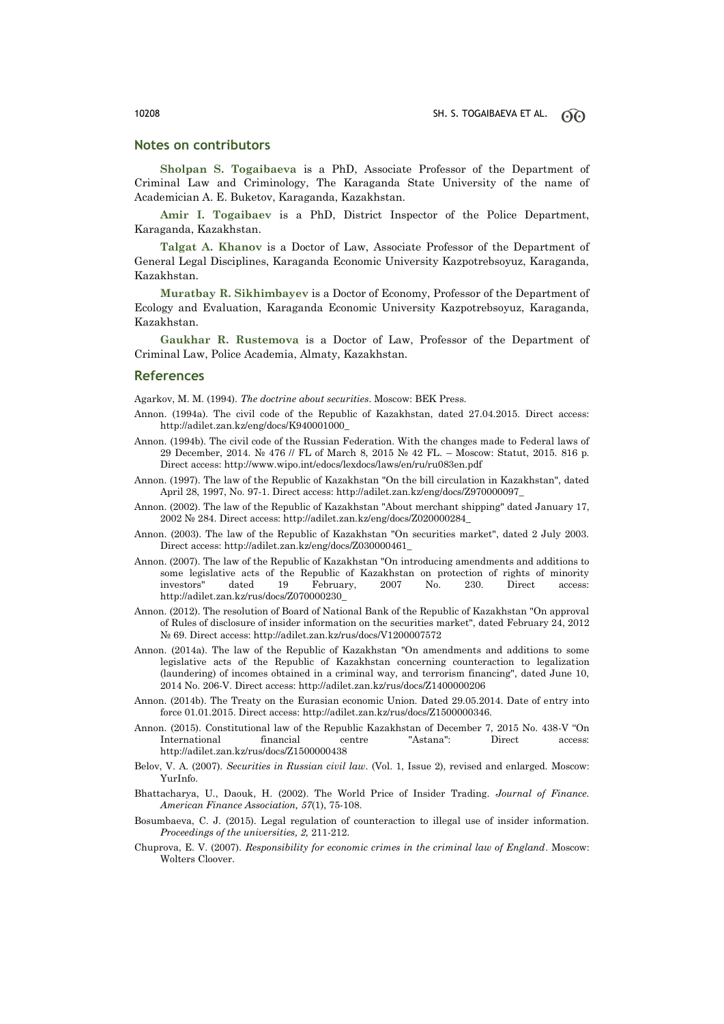### **Notes on contributors**

**Sholpan S. Togaibaeva** is a PhD, Associate Professor of the Department of Criminal Law and Criminology, The Karaganda State University of the name of Academician A. E. Buketov, Karaganda, Kazakhstan.

**Amir I. Togaibaev** is a PhD, District Inspector of the Police Department, Karaganda, Kazakhstan.

**Talgat A. Khanov** is a Doctor of Law, Associate Professor of the Department of General Legal Disciplines, Karaganda Economic University Kazpotrebsoyuz, Karaganda, Kazakhstan.

**Muratbay R. Sikhimbayev** is a Doctor of Economy, Professor of the Department of Ecology and Evaluation, Karaganda Economic University Kazpotrebsoyuz, Karaganda, Kazakhstan.

**Gaukhar R. Rustemova** is a Doctor of Law, Professor of the Department of Criminal Law, Police Academia, Almaty, Kazakhstan.

### **References**

Agarkov, M. M. (1994). *The doctrine about securities*. Moscow: BEK Press.

- Annon. (1994a). The civil code of the Republic of Kazakhstan, dated 27.04.2015. Direct access: http://adilet.zan.kz/eng/docs/K940001000\_
- Annon. (1994b). The civil code of the Russian Federation. With the changes made to Federal laws of 29 December, 2014. № 476 // FL of March 8, 2015 № 42 FL. – Moscow: Statut, 2015. 816 p. Direct access: http://www.wipo.int/edocs/lexdocs/laws/en/ru/ru083en.pdf
- Annon. (1997). The law of the Republic of Kazakhstan "On the bill circulation in Kazakhstan", dated April 28, 1997, No. 97-1. Direct access: http://adilet.zan.kz/eng/docs/Z970000097\_
- Annon. (2002). The law of the Republic of Kazakhstan "About merchant shipping" dated January 17, 2002 № 284. Direct access: http://adilet.zan.kz/eng/docs/Z020000284\_
- Annon. (2003). The law of the Republic of Kazakhstan "On securities market", dated 2 July 2003. Direct access: http://adilet.zan.kz/eng/docs/Z030000461\_
- Annon. (2007). The law of the Republic of Kazakhstan "On introducing amendments and additions to some legislative acts of the Republic of Kazakhstan on protection of rights of minority investors" dated 19 February, 2007 No. 230. Direct access: http://adilet.zan.kz/rus/docs/Z070000230\_
- Annon. (2012). The resolution of Board of National Bank of the Republic of Kazakhstan "On approval of Rules of disclosure of insider information on the securities market", dated February 24, 2012 № 69. Direct access: http://adilet.zan.kz/rus/docs/V1200007572
- Annon. (2014a). The law of the Republic of Kazakhstan "On amendments and additions to some legislative acts of the Republic of Kazakhstan concerning counteraction to legalization (laundering) of incomes obtained in a criminal way, and terrorism financing", dated June 10, 2014 No. 206-V. Direct access: http://adilet.zan.kz/rus/docs/Z1400000206
- Annon. (2014b). The Treaty on the Eurasian economic Union. Dated 29.05.2014. Date of entry into force 01.01.2015. Direct access: http://adilet.zan.kz/rus/docs/Z1500000346.
- Annon. (2015). Constitutional law of the Republic Kazakhstan of December 7, 2015 No. 438-V "On International financial centre "Astana": Direct access: http://adilet.zan.kz/rus/docs/Z1500000438
- Belov, V. A. (2007). *Securities in Russian civil law*. (Vol. 1, Issue 2), revised and enlarged. Moscow: YurInfo.
- Bhattacharya, U., Daouk, H. (2002). The World Price of Insider Trading. *Journal of Finance. American Finance Association, 57*(1), 75-108.
- Bosumbaeva, C. J. (2015). Legal regulation of counteraction to illegal use of insider information. *Proceedings of the universities, 2,* 211-212.
- Chuprova, E. V. (2007). *Responsibility for economic crimes in the criminal law of England*. Moscow: Wolters Cloover.